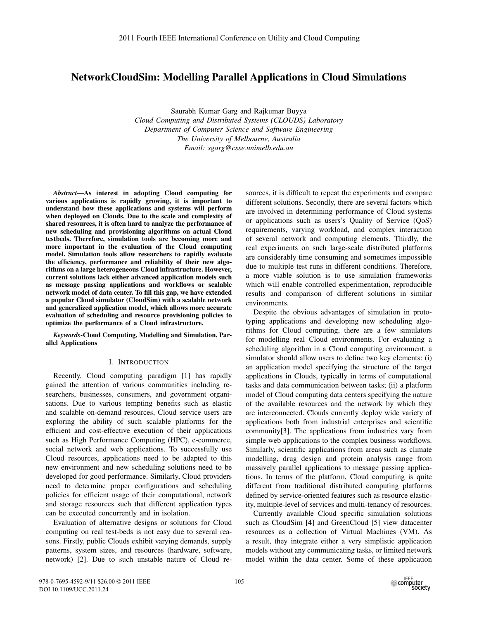# NetworkCloudSim: Modelling Parallel Applications in Cloud Simulations

Saurabh Kumar Garg and Rajkumar Buyya *Cloud Computing and Distributed Systems (CLOUDS) Laboratory Department of Computer Science and Software Engineering The University of Melbourne, Australia Email: sgarg@csse.unimelb.edu.au*

*Abstract*—As interest in adopting Cloud computing for various applications is rapidly growing, it is important to understand how these applications and systems will perform when deployed on Clouds. Due to the scale and complexity of shared resources, it is often hard to analyze the performance of new scheduling and provisioning algorithms on actual Cloud testbeds. Therefore, simulation tools are becoming more and more important in the evaluation of the Cloud computing model. Simulation tools allow researchers to rapidly evaluate the efficiency, performance and reliability of their new algorithms on a large heterogeneous Cloud infrastructure. However, current solutions lack either advanced application models such as message passing applications and workflows or scalable network model of data center. To fill this gap, we have extended a popular Cloud simulator (CloudSim) with a scalable network and generalized application model, which allows more accurate evaluation of scheduling and resource provisioning policies to optimize the performance of a Cloud infrastructure.

*Keywords*-Cloud Computing, Modelling and Simulation, Parallel Applications

### I. INTRODUCTION

Recently, Cloud computing paradigm [1] has rapidly gained the attention of various communities including researchers, businesses, consumers, and government organisations. Due to various tempting benefits such as elastic and scalable on-demand resources, Cloud service users are exploring the ability of such scalable platforms for the efficient and cost-effective execution of their applications such as High Performance Computing (HPC), e-commerce, social network and web applications. To successfully use Cloud resources, applications need to be adapted to this new environment and new scheduling solutions need to be developed for good performance. Similarly, Cloud providers need to determine proper configurations and scheduling policies for efficient usage of their computational, network and storage resources such that different application types can be executed concurrently and in isolation.

Evaluation of alternative designs or solutions for Cloud computing on real test-beds is not easy due to several reasons. Firstly, public Clouds exhibit varying demands, supply patterns, system sizes, and resources (hardware, software, network) [2]. Due to such unstable nature of Cloud resources, it is difficult to repeat the experiments and compare different solutions. Secondly, there are several factors which are involved in determining performance of Cloud systems or applications such as users's Quality of Service (QoS) requirements, varying workload, and complex interaction of several network and computing elements. Thirdly, the real experiments on such large-scale distributed platforms are considerably time consuming and sometimes impossible due to multiple test runs in different conditions. Therefore, a more viable solution is to use simulation frameworks which will enable controlled experimentation, reproducible results and comparison of different solutions in similar environments.

Despite the obvious advantages of simulation in prototyping applications and developing new scheduling algorithms for Cloud computing, there are a few simulators for modelling real Cloud environments. For evaluating a scheduling algorithm in a Cloud computing environment, a simulator should allow users to define two key elements: (i) an application model specifying the structure of the target applications in Clouds, typically in terms of computational tasks and data communication between tasks; (ii) a platform model of Cloud computing data centers specifying the nature of the available resources and the network by which they are interconnected. Clouds currently deploy wide variety of applications both from industrial enterprises and scientific community[3]. The applications from industries vary from simple web applications to the complex business workflows. Similarly, scientific applications from areas such as climate modelling, drug design and protein analysis range from massively parallel applications to message passing applications. In terms of the platform, Cloud computing is quite different from traditional distributed computing platforms defined by service-oriented features such as resource elasticity, multiple-level of services and multi-tenancy of resources.

Currently available Cloud specific simulation solutions such as CloudSim [4] and GreenCloud [5] view datacenter resources as a collection of Virtual Machines (VM). As a result, they integrate either a very simplistic application models without any communicating tasks, or limited network model within the data center. Some of these application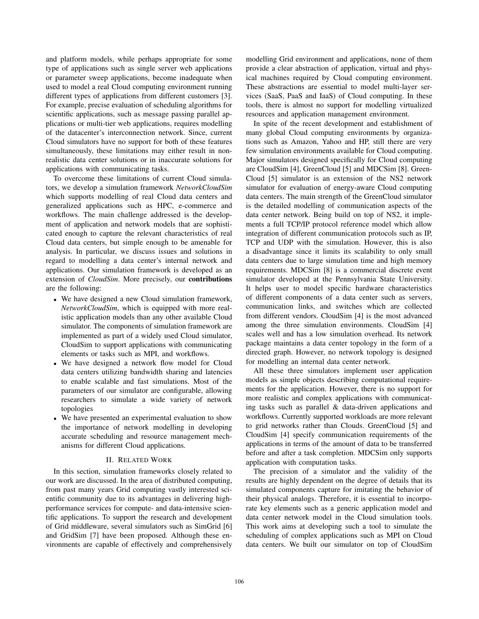and platform models, while perhaps appropriate for some type of applications such as single server web applications or parameter sweep applications, become inadequate when used to model a real Cloud computing environment running different types of applications from different customers [3]. For example, precise evaluation of scheduling algorithms for scientific applications, such as message passing parallel applications or multi-tier web applications, requires modelling of the datacenter's interconnection network. Since, current Cloud simulators have no support for both of these features simultaneously, these limitations may either result in nonrealistic data center solutions or in inaccurate solutions for applications with communicating tasks.

To overcome these limitations of current Cloud simulators, we develop a simulation framework *NetworkCloudSim* which supports modelling of real Cloud data centers and generalized applications such as HPC, e-commerce and workflows. The main challenge addressed is the development of application and network models that are sophisticated enough to capture the relevant characteristics of real Cloud data centers, but simple enough to be amenable for analysis. In particular, we discuss issues and solutions in regard to modelling a data center's internal network and applications. Our simulation framework is developed as an extension of *CloudSim*. More precisely, our contributions are the following:

- We have designed a new Cloud simulation framework, *NetworkCloudSim*, which is equipped with more realistic application models than any other available Cloud simulator. The components of simulation framework are implemented as part of a widely used Cloud simulator, CloudSim to support applications with communicating elements or tasks such as MPI, and workflows.
- We have designed a network flow model for Cloud data centers utilizing bandwidth sharing and latencies to enable scalable and fast simulations. Most of the parameters of our simulator are configurable, allowing researchers to simulate a wide variety of network topologies
- We have presented an experimental evaluation to show the importance of network modelling in developing accurate scheduling and resource management mechanisms for different Cloud applications.

### II. RELATED WORK

In this section, simulation frameworks closely related to our work are discussed. In the area of distributed computing, from past many years Grid computing vastly interested scientific community due to its advantages in delivering highperformance services for compute- and data-intensive scientific applications. To support the research and development of Grid middleware, several simulators such as SimGrid [6] and GridSim [7] have been proposed. Although these environments are capable of effectively and comprehensively modelling Grid environment and applications, none of them provide a clear abstraction of application, virtual and physical machines required by Cloud computing environment. These abstractions are essential to model multi-layer services (SaaS, PaaS and IaaS) of Cloud computing. In these tools, there is almost no support for modelling virtualized resources and application management environment.

In spite of the recent development and establishment of many global Cloud computing environments by organizations such as Amazon, Yahoo and HP, still there are very few simulation environments available for Cloud computing. Major simulators designed specifically for Cloud computing are CloudSim [4], GreenCloud [5] and MDCSim [8]. Green-Cloud [5] simulator is an extension of the NS2 network simulator for evaluation of energy-aware Cloud computing data centers. The main strength of the GreenCloud simulator is the detailed modelling of communication aspects of the data center network. Being build on top of NS2, it implements a full TCP/IP protocol reference model which allow integration of different communication protocols such as IP, TCP and UDP with the simulation. However, this is also a disadvantage since it limits its scalability to only small data centers due to large simulation time and high memory requirements. MDCSim [8] is a commercial discrete event simulator developed at the Pennsylvania State University. It helps user to model specific hardware characteristics of different components of a data center such as servers, communication links, and switches which are collected from different vendors. CloudSim [4] is the most advanced among the three simulation environments. CloudSim [4] scales well and has a low simulation overhead. Its network package maintains a data center topology in the form of a directed graph. However, no network topology is designed for modelling an internal data center network.

All these three simulators implement user application models as simple objects describing computational requirements for the application. However, there is no support for more realistic and complex applications with communicating tasks such as parallel & data-driven applications and workflows. Currently supported workloads are more relevant to grid networks rather than Clouds. GreenCloud [5] and CloudSim [4] specify communication requirements of the applications in terms of the amount of data to be transferred before and after a task completion. MDCSim only supports application with computation tasks.

The precision of a simulator and the validity of the results are highly dependent on the degree of details that its simulated components capture for imitating the behavior of their physical analogs. Therefore, it is essential to incorporate key elements such as a generic application model and data center network model in the Cloud simulation tools. This work aims at developing such a tool to simulate the scheduling of complex applications such as MPI on Cloud data centers. We built our simulator on top of CloudSim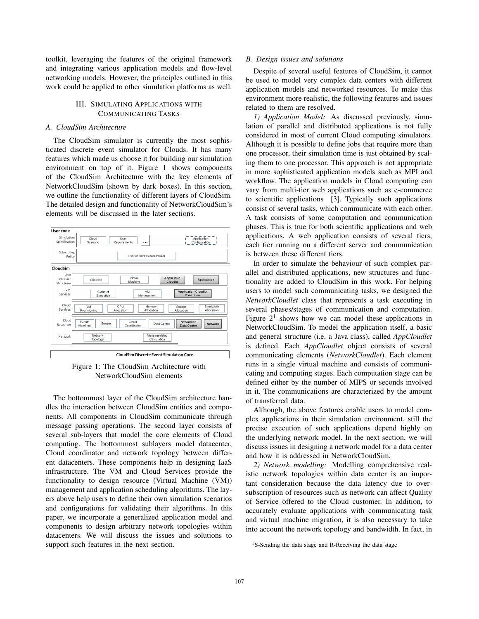toolkit, leveraging the features of the original framework and integrating various application models and flow-level networking models. However, the principles outlined in this work could be applied to other simulation platforms as well.

## III. SIMULATING APPLICATIONS WITH COMMUNICATING TASKS

#### *A. CloudSim Architecture*

The CloudSim simulator is currently the most sophisticated discrete event simulator for Clouds. It has many features which made us choose it for building our simulation environment on top of it. Figure 1 shows components of the CloudSim Architecture with the key elements of NetworkCloudSim (shown by dark boxes). In this section, we outline the functionality of different layers of CloudSim. The detailed design and functionality of NetworkCloudSim's elements will be discussed in the later sections.



Figure 1: The CloudSim Architecture with NetworkCloudSim elements

The bottommost layer of the CloudSim architecture handles the interaction between CloudSim entities and components. All components in CloudSim communicate through message passing operations. The second layer consists of several sub-layers that model the core elements of Cloud computing. The bottommost sublayers model datacenter, Cloud coordinator and network topology between different datacenters. These components help in designing IaaS infrastructure. The VM and Cloud Services provide the functionality to design resource (Virtual Machine (VM)) management and application scheduling algorithms. The layers above help users to define their own simulation scenarios and configurations for validating their algorithms. In this paper, we incorporate a generalized application model and components to design arbitrary network topologies within datacenters. We will discuss the issues and solutions to support such features in the next section.

#### *B. Design issues and solutions*

Despite of several useful features of CloudSim, it cannot be used to model very complex data centers with different application models and networked resources. To make this environment more realistic, the following features and issues related to them are resolved.

*1) Application Model:* As discussed previously, simulation of parallel and distributed applications is not fully considered in most of current Cloud computing simulators. Although it is possible to define jobs that require more than one processor, their simulation time is just obtained by scaling them to one processor. This approach is not appropriate in more sophisticated application models such as MPI and workflow. The application models in Cloud computing can vary from multi-tier web applications such as e-commerce to scientific applications [3]. Typically such applications consist of several tasks, which communicate with each other. A task consists of some computation and communication phases. This is true for both scientific applications and web applications. A web application consists of several tiers, each tier running on a different server and communication is between these different tiers.

In order to simulate the behaviour of such complex parallel and distributed applications, new structures and functionality are added to CloudSim in this work. For helping users to model such communicating tasks, we designed the *NetworkCloudlet* class that represents a task executing in several phases/stages of communication and computation. Figure  $2<sup>1</sup>$  shows how we can model these applications in NetworkCloudSim. To model the application itself, a basic and general structure (i.e. a Java class), called *AppCloudlet* is defined. Each *AppCloudlet* object consists of several communicating elements (*NetworkCloudlet*). Each element runs in a single virtual machine and consists of communicating and computing stages. Each computation stage can be defined either by the number of MIPS or seconds involved in it. The communications are characterized by the amount of transferred data.

Although, the above features enable users to model complex applications in their simulation environment, still the precise execution of such applications depend highly on the underlying network model. In the next section, we will discuss issues in designing a network model for a data center and how it is addressed in NetworkCloudSim.

*2) Network modelling:* Modelling comprehensive realistic network topologies within data center is an important consideration because the data latency due to oversubscription of resources such as network can affect Quality of Service offered to the Cloud customer. In addition, to accurately evaluate applications with communicating task and virtual machine migration, it is also necessary to take into account the network topology and bandwidth. In fact, in

<sup>&</sup>lt;sup>1</sup>S-Sending the data stage and R-Receiving the data stage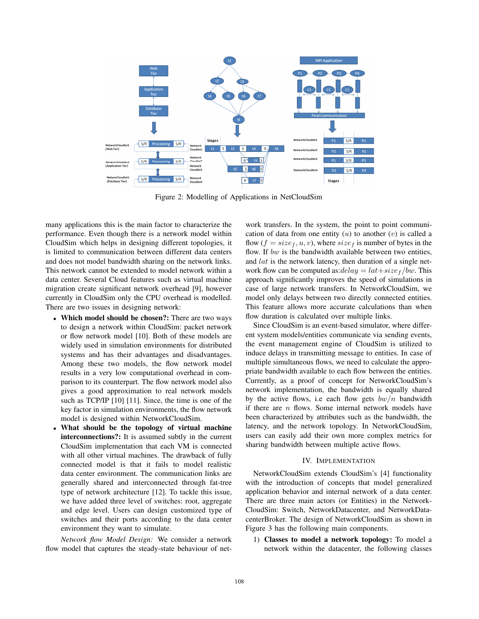

Figure 2: Modelling of Applications in NetCloudSim

many applications this is the main factor to characterize the performance. Even though there is a network model within CloudSim which helps in designing different topologies, it is limited to communication between different data centers and does not model bandwidth sharing on the network links. This network cannot be extended to model network within a data center. Several Cloud features such as virtual machine migration create significant network overhead [9], however currently in CloudSim only the CPU overhead is modelled. There are two issues in designing network:

- Which model should be chosen?: There are two ways to design a network within CloudSim: packet network or flow network model [10]. Both of these models are widely used in simulation environments for distributed systems and has their advantages and disadvantages. Among these two models, the flow network model results in a very low computational overhead in comparison to its counterpart. The flow network model also gives a good approximation to real network models such as TCP/IP [10] [11]. Since, the time is one of the key factor in simulation environments, the flow network model is designed within NetworkCloudSim.
- What should be the topology of virtual machine interconnections?: It is assumed subtly in the current CloudSim implementation that each VM is connected with all other virtual machines. The drawback of fully connected model is that it fails to model realistic data center environment. The communication links are generally shared and interconnected through fat-tree type of network architecture [12]. To tackle this issue, we have added three level of switches: root, aggregate and edge level. Users can design customized type of switches and their ports according to the data center environment they want to simulate.

*Network flow Model Design:* We consider a network flow model that captures the steady-state behaviour of network transfers. In the system, the point to point communication of data from one entity  $(u)$  to another  $(v)$  is called a flow  $(f = size_f, u, v)$ , where  $size_f$  is number of bytes in the flow. If *bw* is the bandwidth available between two entities, and *lat* is the network latency, then duration of a single network flow can be computed as: $delay = lat + size_f/bw$ . This approach significantly improves the speed of simulations in case of large network transfers. In NetworkCloudSim, we model only delays between two directly connected entities. This feature allows more accurate calculations than when flow duration is calculated over multiple links.

Since CloudSim is an event-based simulator, where different system models/entities communicate via sending events, the event management engine of CloudSim is utilized to induce delays in transmitting message to entities. In case of multiple simultaneous flows, we need to calculate the appropriate bandwidth available to each flow between the entities. Currently, as a proof of concept for NetworkCloudSim's network implementation, the bandwidth is equally shared by the active flows, i.e each flow gets *bw/n* bandwidth if there are *n* flows. Some internal network models have been characterized by attributes such as the bandwidth, the latency, and the network topology. In NetworkCloudSim, users can easily add their own more complex metrics for sharing bandwidth between multiple active flows.

### IV. IMPLEMENTATION

NetworkCloudSim extends CloudSim's [4] functionality with the introduction of concepts that model generalized application behavior and internal network of a data center. There are three main actors (or Entities) in the Network-CloudSim: Switch, NetworkDatacenter, and NetworkDatacenterBroker. The design of NetworkCloudSim as shown in Figure 3 has the following main components.

1) Classes to model a network topology: To model a network within the datacenter, the following classes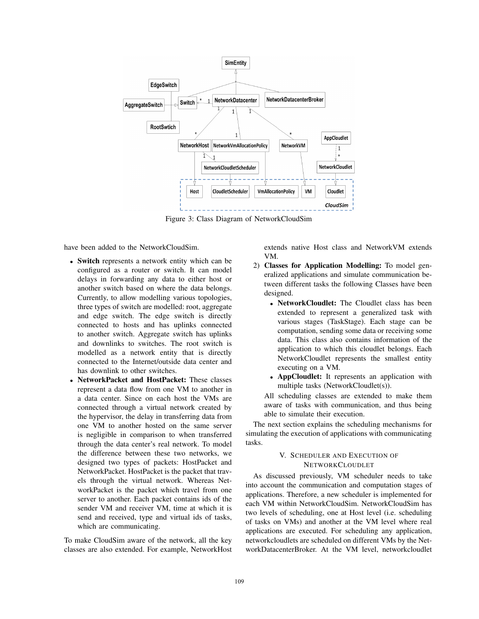

Figure 3: Class Diagram of NetworkCloudSim

have been added to the NetworkCloudSim.

- Switch represents a network entity which can be configured as a router or switch. It can model delays in forwarding any data to either host or another switch based on where the data belongs. Currently, to allow modelling various topologies, three types of switch are modelled: root, aggregate and edge switch. The edge switch is directly connected to hosts and has uplinks connected to another switch. Aggregate switch has uplinks and downlinks to switches. The root switch is modelled as a network entity that is directly connected to the Internet/outside data center and has downlink to other switches.
- NetworkPacket and HostPacket: These classes represent a data flow from one VM to another in a data center. Since on each host the VMs are connected through a virtual network created by the hypervisor, the delay in transferring data from one VM to another hosted on the same server is negligible in comparison to when transferred through the data center's real network. To model the difference between these two networks, we designed two types of packets: HostPacket and NetworkPacket. HostPacket is the packet that travels through the virtual network. Whereas NetworkPacket is the packet which travel from one server to another. Each packet contains ids of the sender VM and receiver VM, time at which it is send and received, type and virtual ids of tasks, which are communicating.

To make CloudSim aware of the network, all the key classes are also extended. For example, NetworkHost extends native Host class and NetworkVM extends VM.

- 2) Classes for Application Modelling: To model generalized applications and simulate communication between different tasks the following Classes have been designed.
	- NetworkCloudlet: The Cloudlet class has been extended to represent a generalized task with various stages (TaskStage). Each stage can be computation, sending some data or receiving some data. This class also contains information of the application to which this cloudlet belongs. Each NetworkCloudlet represents the smallest entity executing on a VM.
	- AppCloudlet: It represents an application with multiple tasks (NetworkCloudlet(s)).

All scheduling classes are extended to make them aware of tasks with communication, and thus being able to simulate their execution.

The next section explains the scheduling mechanisms for simulating the execution of applications with communicating tasks.

# V. SCHEDULER AND EXECUTION OF **NETWORKCLOUDLET**

As discussed previously, VM scheduler needs to take into account the communication and computation stages of applications. Therefore, a new scheduler is implemented for each VM within NetworkCloudSim. NetworkCloudSim has two levels of scheduling, one at Host level (i.e. scheduling of tasks on VMs) and another at the VM level where real applications are executed. For scheduling any application, networkcloudlets are scheduled on different VMs by the NetworkDatacenterBroker. At the VM level, networkcloudlet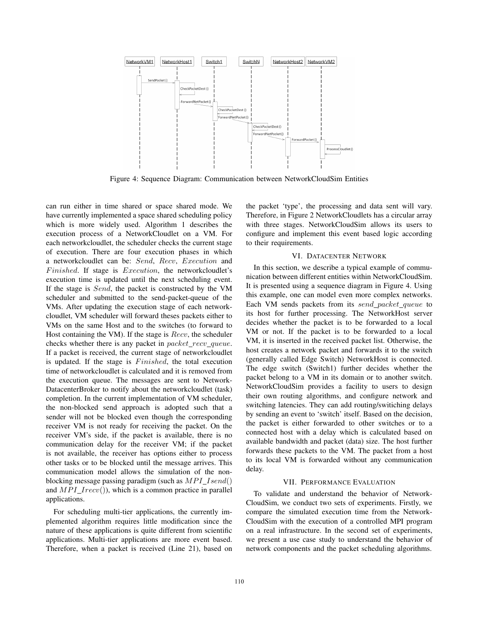

Figure 4: Sequence Diagram: Communication between NetworkCloudSim Entities

can run either in time shared or space shared mode. We have currently implemented a space shared scheduling policy which is more widely used. Algorithm 1 describes the execution process of a NetworkCloudlet on a VM. For each networkcloudlet, the scheduler checks the current stage of execution. There are four execution phases in which a networkcloudlet can be: *Send*, *Recv*, *Execution* and *F inished*. If stage is *Execution*, the networkcloudlet's execution time is updated until the next scheduling event. If the stage is *Send*, the packet is constructed by the VM scheduler and submitted to the send-packet-queue of the VMs. After updating the execution stage of each networkcloudlet, VM scheduler will forward theses packets either to VMs on the same Host and to the switches (to forward to Host containing the VM). If the stage is *Recv*, the scheduler checks whether there is any packet in *packet recv queue*. If a packet is received, the current stage of networkcloudlet is updated. If the stage is *F inished*, the total execution time of networkcloudlet is calculated and it is removed from the execution queue. The messages are sent to Network-DatacenterBroker to notify about the networkcloudlet (task) completion. In the current implementation of VM scheduler, the non-blocked send approach is adopted such that a sender will not be blocked even though the corresponding receiver VM is not ready for receiving the packet. On the receiver VM's side, if the packet is available, there is no communication delay for the receiver VM; if the packet is not available, the receiver has options either to process other tasks or to be blocked until the message arrives. This communication model allows the simulation of the nonblocking message passing paradigm (such as *MPI Isend*() and *MPI Irecv*()), which is a common practice in parallel applications.

For scheduling multi-tier applications, the currently implemented algorithm requires little modification since the nature of these applications is quite different from scientific applications. Multi-tier applications are more event based. Therefore, when a packet is received (Line 21), based on the packet 'type', the processing and data sent will vary. Therefore, in Figure 2 NetworkCloudlets has a circular array with three stages. NetworkCloudSim allows its users to configure and implement this event based logic according to their requirements.

### VI. DATACENTER NETWORK

In this section, we describe a typical example of communication between different entities within NetworkCloudSim. It is presented using a sequence diagram in Figure 4. Using this example, one can model even more complex networks. Each VM sends packets from its *send packet queue* to its host for further processing. The NetworkHost server decides whether the packet is to be forwarded to a local VM or not. If the packet is to be forwarded to a local VM, it is inserted in the received packet list. Otherwise, the host creates a network packet and forwards it to the switch (generally called Edge Switch) NetworkHost is connected. The edge switch (Switch1) further decides whether the packet belong to a VM in its domain or to another switch. NetworkCloudSim provides a facility to users to design their own routing algorithms, and configure network and switching latencies. They can add routing/switiching delays by sending an event to 'switch' itself. Based on the decision, the packet is either forwarded to other switches or to a connected host with a delay which is calculated based on available bandwidth and packet (data) size. The host further forwards these packets to the VM. The packet from a host to its local VM is forwarded without any communication delay.

#### VII. PERFORMANCE EVALUATION

To validate and understand the behavior of Network-CloudSim, we conduct two sets of experiments. Firstly, we compare the simulated execution time from the Network-CloudSim with the execution of a controlled MPI program on a real infrastructure. In the second set of experiments, we present a use case study to understand the behavior of network components and the packet scheduling algorithms.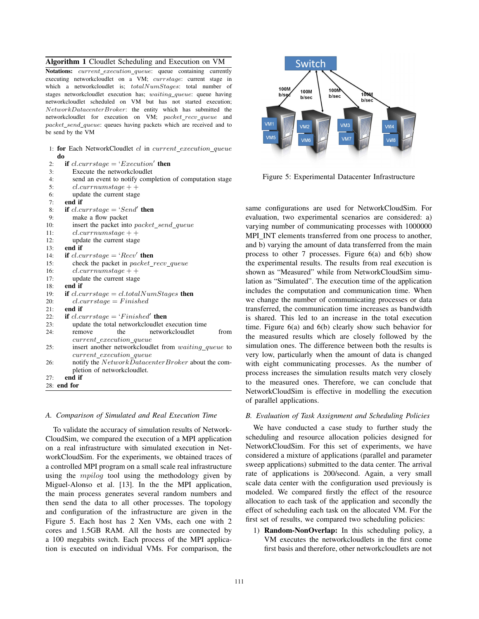#### Algorithm 1 Cloudlet Scheduling and Execution on VM

Notations: current\_execution\_queue: queue containing currently executing networkcloudlet on a VM; currstage: current stage in which a networkcloudlet is;  $totalNumStages$ : total number of stages networkcloudlet execution has; waiting queue: queue having networkcloudlet scheduled on VM but has not started execution; NetworkDatacenterBroker: the entity which has submitted the networkcloudlet for execution on VM; packet\_recv\_queue and packet\_send\_queue: queues having packets which are received and to be send by the VM

1: for Each NetworkCloudlet cl in current\_execution\_queue  $\frac{d\theta}{d\theta}$  $t \rightarrow t$ 

| 2:  | if $cl.currstage = 'Execution'$ then                    |
|-----|---------------------------------------------------------|
| 3:  | Execute the networkcloudlet                             |
| 4:  | send an event to notify completion of computation stage |
| 5:  | $cl. currunum stage + +$                                |
| 6:  | update the current stage                                |
| 7:  | end if                                                  |
| 8:  | if $cl.currstage = 'Send'$ then                         |
| 9:  | make a flow packet                                      |
| 10: | insert the packet into packet_send_queue                |
| 11: | $cl. currununstage + +$                                 |
| 12: | update the current stage                                |
| 13: | end if                                                  |
| 14: | if $cl.currstage = 'Recv'$ then                         |
| 15: | check the packet in packet_recv_queue                   |
| 16: | $cl. currununstage + +$                                 |
| 17: | update the current stage                                |
| 18: | end if                                                  |
| 19: | <b>if</b> cl.currstage = cl.totalNumStages <b>then</b>  |
| 20: | $cl.curr stage = Finished$                              |
| 21: | end if                                                  |
| 22: | if $cl.currstage = 'Finished'$ then                     |
| 23: | update the total network cloudlet execution time        |
| 24: | networkcloudlet<br>from<br>the<br>remove                |
|     | $current\_execution\_queue$                             |
| 25: | insert another networkcloudlet from waiting_queue to    |
|     | current execution queue                                 |
| 26: | notify the NetworkDatacenterBroker about the com-       |
|     | pletion of networkcloudlet.                             |
| 27: | end if                                                  |
|     | 28: <b>end for</b>                                      |
|     |                                                         |

#### *A. Comparison of Simulated and Real Execution Time*

To validate the accuracy of simulation results of Network-CloudSim, we compared the execution of a MPI application on a real infrastructure with simulated execution in NetworkCloudSim. For the experiments, we obtained traces of a controlled MPI program on a small scale real infrastructure using the *mpilog* tool using the methodology given by Miguel-Alonso et al. [13]. In the the MPI application, the main process generates several random numbers and then send the data to all other processes. The topology and configuration of the infrastructure are given in the Figure 5. Each host has 2 Xen VMs, each one with 2 cores and 1.5GB RAM. All the hosts are connected by a 100 megabits switch. Each process of the MPI application is executed on individual VMs. For comparison, the



Figure 5: Experimental Datacenter Infrastructure

same configurations are used for NetworkCloudSim. For evaluation, two experimental scenarios are considered: a) varying number of communicating processes with 1000000 MPI\_INT elements transferred from one process to another, and b) varying the amount of data transferred from the main process to other 7 processes. Figure  $6(a)$  and  $6(b)$  show the experimental results. The results from real execution is shown as "Measured" while from NetworkCloudSim simulation as "Simulated". The execution time of the application includes the computation and communication time. When we change the number of communicating processes or data transferred, the communication time increases as bandwidth is shared. This led to an increase in the total execution time. Figure 6(a) and 6(b) clearly show such behavior for the measured results which are closely followed by the simulation ones. The difference between both the results is very low, particularly when the amount of data is changed with eight communicating processes. As the number of process increases the simulation results match very closely to the measured ones. Therefore, we can conclude that NetworkCloudSim is effective in modelling the execution of parallel applications.

## *B. Evaluation of Task Assignment and Scheduling Policies*

We have conducted a case study to further study the scheduling and resource allocation policies designed for NetworkCloudSim. For this set of experiments, we have considered a mixture of applications (parallel and parameter sweep applications) submitted to the data center. The arrival rate of applications is 200/second. Again, a very small scale data center with the configuration used previously is modeled. We compared firstly the effect of the resource allocation to each task of the application and secondly the effect of scheduling each task on the allocated VM. For the first set of results, we compared two scheduling policies:

1) Random-NonOverlap: In this scheduling policy, a VM executes the networkcloudlets in the first come first basis and therefore, other networkcloudlets are not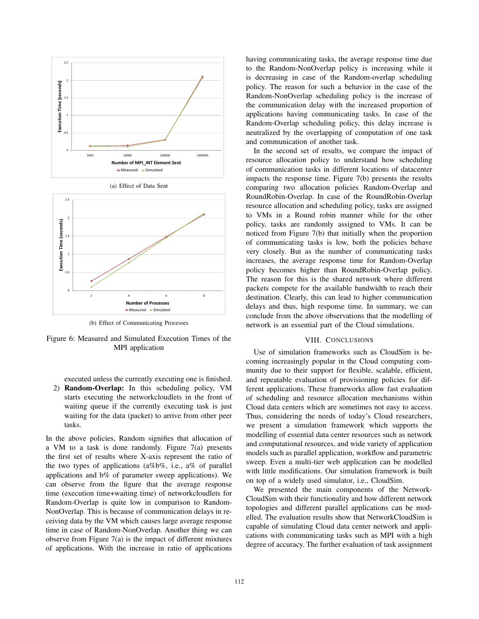

(a) Effect of Data Sent



(b) Effect of Communicating Processes

Figure 6: Measured and Simulated Execution Times of the MPI application

executed unless the currently executing one is finished.

2) Random-Overlap: In this scheduling policy, VM starts executing the networkcloudlets in the front of waiting queue if the currently executing task is just waiting for the data (packet) to arrive from other peer tasks.

In the above policies, Random signifies that allocation of a VM to a task is done randomly. Figure 7(a) presents the first set of results where X-axis represent the ratio of the two types of applications ( $a\%b\%$ , i.e.,  $a\%$  of parallel applications and b% of parameter sweep applications). We can observe from the figure that the average response time (execution time+waiting time) of networkcloudlets for Random-Overlap is quite low in comparison to Random-NonOverlap. This is because of communication delays in receiving data by the VM which causes large average response time in case of Random-NonOverlap. Another thing we can observe from Figure 7(a) is the impact of different mixtures of applications. With the increase in ratio of applications having communicating tasks, the average response time due to the Random-NonOverlap policy is increasing while it is decreasing in case of the Random-overlap scheduling policy. The reason for such a behavior in the case of the Random-NonOverlap scheduling policy is the increase of the communication delay with the increased proportion of applications having communicating tasks. In case of the Random-Overlap scheduling policy, this delay increase is neutralized by the overlapping of computation of one task and communication of another task.

In the second set of results, we compare the impact of resource allocation policy to understand how scheduling of communication tasks in different locations of datacenter impacts the response time. Figure 7(b) presents the results comparing two allocation policies Random-Overlap and RoundRobin-Overlap. In case of the RoundRobin-Overlap resource allocation and scheduling policy, tasks are assigned to VMs in a Round robin manner while for the other policy, tasks are randomly assigned to VMs. It can be noticed from Figure 7(b) that initially when the proportion of communicating tasks is low, both the policies behave very closely. But as the number of communicating tasks increases, the average response time for Random-Overlap policy becomes higher than RoundRobin-Overlap policy. The reason for this is the shared network where different packets compete for the available bandwidth to reach their destination. Clearly, this can lead to higher communication delays and thus, high response time. In summary, we can conclude from the above observations that the modelling of network is an essential part of the Cloud simulations.

#### VIII. CONCLUSIONS

Use of simulation frameworks such as CloudSim is becoming increasingly popular in the Cloud computing community due to their support for flexible, scalable, efficient, and repeatable evaluation of provisioning policies for different applications. These frameworks allow fast evaluation of scheduling and resource allocation mechanisms within Cloud data centers which are sometimes not easy to access. Thus, considering the needs of today's Cloud researchers, we present a simulation framework which supports the modelling of essential data center resources such as network and computational resources, and wide variety of application models such as parallel application, workflow and parametric sweep. Even a multi-tier web application can be modelled with little modifications. Our simulation framework is built on top of a widely used simulator, i.e., CloudSim.

We presented the main components of the Network-CloudSim with their functionality and how different network topologies and different parallel applications can be modelled. The evaluation results show that NetworkCloudSim is capable of simulating Cloud data center network and applications with communicating tasks such as MPI with a high degree of accuracy. The further evaluation of task assignment